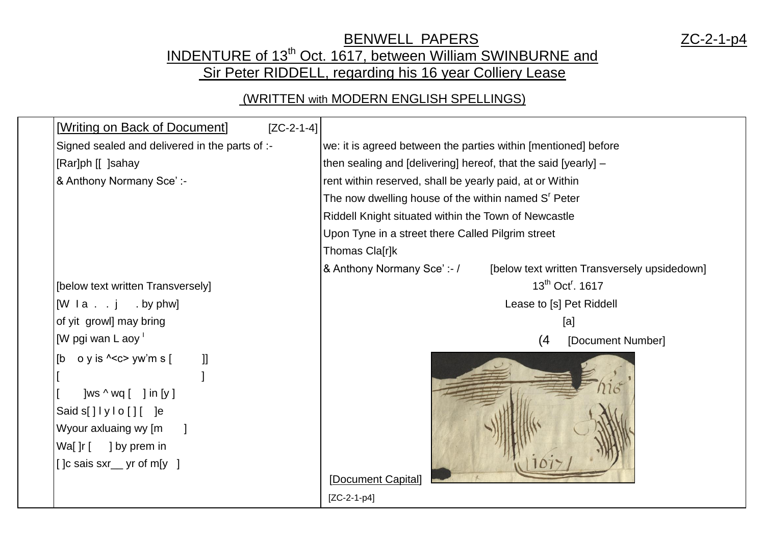## BENWELL PAPERS ZC-2-1-p4 INDENTURE of 13<sup>th</sup> Oct. 1617, between William SWINBURNE and Sir Peter RIDDELL, regarding his 16 year Colliery Lease

## (WRITTEN with MODERN ENGLISH SPELLINGS)

| [Writing on Back of Document]                                                                                                                                                                                     | $[ZC-2-1-4]$ |                                                                           |
|-------------------------------------------------------------------------------------------------------------------------------------------------------------------------------------------------------------------|--------------|---------------------------------------------------------------------------|
| Signed sealed and delivered in the parts of :-                                                                                                                                                                    |              | we: it is agreed between the parties within [mentioned] before            |
| [Rar]ph [[] ]sahay                                                                                                                                                                                                |              | then sealing and [delivering] hereof, that the said [yearly] -            |
| & Anthony Normany Sce':-                                                                                                                                                                                          |              | rent within reserved, shall be yearly paid, at or Within                  |
|                                                                                                                                                                                                                   |              | The now dwelling house of the within named S <sup>r</sup> Peter           |
|                                                                                                                                                                                                                   |              | Riddell Knight situated within the Town of Newcastle                      |
|                                                                                                                                                                                                                   |              | Upon Tyne in a street there Called Pilgrim street                         |
|                                                                                                                                                                                                                   |              | Thomas Cla[r]k                                                            |
|                                                                                                                                                                                                                   |              | & Anthony Normany Sce':-/<br>[below text written Transversely upsidedown] |
| [below text written Transversely]                                                                                                                                                                                 |              | 13 <sup>th</sup> Oct <sup>r</sup> . 1617                                  |
| $[W \mid a \ldots j \ldots b$ y phw]                                                                                                                                                                              |              | Lease to [s] Pet Riddell                                                  |
| of yit growl] may bring                                                                                                                                                                                           |              | [a]                                                                       |
| [W pgi wan L aoy $\frac{1}{1}$                                                                                                                                                                                    |              | (4)<br>[Document Number]                                                  |
| o y is $\text{C}$ yw'm s [<br>[b<br>$\mathbf{I}$<br>]ws $\wedge$ wq [ ] in [y]<br>Said $s[$ $]$ $ y $ o $[$ $]$ $[$ $]$ $e$<br>Wyour axluaing wy [m<br>Wa[ $]r$ [ ] by prem in<br>$[$ $]c$ sais sxr yr of m[y $]$ |              | [Document Capital]                                                        |
|                                                                                                                                                                                                                   |              | $[ZC-2-1-p4]$                                                             |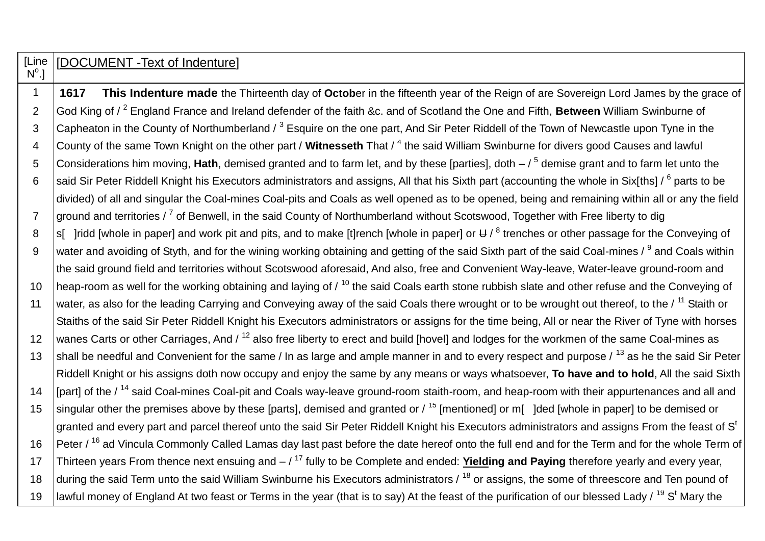## [Line  $\mathsf{N}^\mathsf{o}$ .] [DOCUMENT -Text of Indenture]

1 **1617 This Indenture made** the Thirteenth day of **Octob**er in the fifteenth year of the Reign of are Sovereign Lord James by the grace of 2 God King of / <sup>2</sup> England France and Ireland defender of the faith &c. and of Scotland the One and Fifth, **Between** William Swinburne of 3 Capheaton in the County of Northumberland / <sup>3</sup> Esquire on the one part. And Sir Peter Riddell of the Town of Newcastle upon Tyne in the 4 County of the same Town Knight on the other part / Witnesseth That / <sup>4</sup> the said William Swinburne for divers good Causes and lawful 5 Considerations him moving, Hath, demised granted and to farm let, and by these [parties], doth  $-$  / <sup>5</sup> demise grant and to farm let unto the 6 Said Sir Peter Riddell Knight his Executors administrators and assigns, All that his Sixth part (accounting the whole in Six[ths] /  $^6$  parts to be divided) of all and singular the Coal-mines Coal-pits and Coals as well opened as to be opened, being and remaining within all or any the field 7 | ground and territories / <sup>7</sup> of Benwell, in the said County of Northumberland without Scotswood, Together with Free liberty to dig 8 S is indd [whole in paper] and work pit and pits, and to make [t]rench [whole in paper] or U /  $^8$  trenches or other passage for the Conveying of 9  $\,$  water and avoiding of Styth, and for the wining working obtaining and getting of the said Sixth part of the said Coal-mines /  $^9$  and Coals within the said ground field and territories without Scotswood aforesaid, And also, free and Convenient Way-leave, Water-leave ground-room and 10 heap-room as well for the working obtaining and laying of  $\ell^{10}$  the said Coals earth stone rubbish slate and other refuse and the Conveying of 11 | water, as also for the leading Carrying and Conveying away of the said Coals there wrought or to be wrought out thereof, to the / <sup>11</sup> Staith or Staiths of the said Sir Peter Riddell Knight his Executors administrators or assigns for the time being, All or near the River of Tyne with horses 12 wanes Carts or other Carriages, And / <sup>12</sup> also free liberty to erect and build [hovel] and lodges for the workmen of the same Coal-mines as 13 shall be needful and Convenient for the same / In as large and ample manner in and to every respect and purpose  $/13$  as he the said Sir Peter Riddell Knight or his assigns doth now occupy and enjoy the same by any means or ways whatsoever, **To have and to hold**, All the said Sixth 14 | [part] of the / <sup>14</sup> said Coal-mines Coal-pit and Coals way-leave ground-room staith-room, and heap-room with their appurtenances and all and 15 singular other the premises above by these [parts], demised and granted or  $/15$  [mentioned] or m[ ] ded [whole in paper] to be demised or  $\vert$  aranted and everv part and parcel thereof unto the said Sir Peter Riddell Knight his Executors administrators and assigns From the feast of S<sup>t</sup> 16 Peter / <sup>16</sup> ad Vincula Commonly Called Lamas day last past before the date hereof onto the full end and for the Term and for the whole Term of 17 Thirteen years From thence next ensuing and – / <sup>17</sup> fully to be Complete and ended: **Yielding and Paying** therefore yearly and every year, 18 during the said Term unto the said William Swinburne his Executors administrators / <sup>18</sup> or assigns, the some of threescore and Ten pound of 19 | lawful money of England At two feast or Terms in the year (that is to say) At the feast of the purification of our blessed Lady /  $^{19}$  S<sup>t</sup> Mary the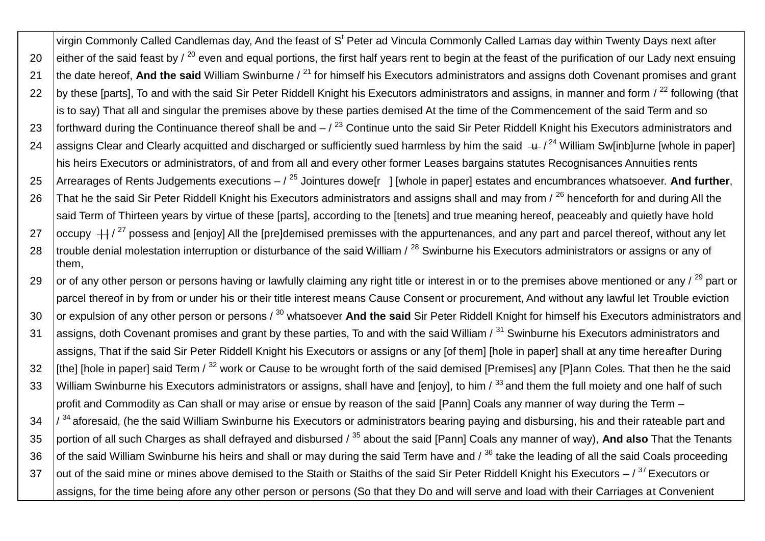virgin Commonly Called Candlemas day, And the feast of S<sup>t</sup> Peter ad Vincula Commonly Called Lamas day within Twenty Days next after 20 either of the said feast by  $\ell^{20}$  even and equal portions, the first half years rent to begin at the feast of the purification of our Lady next ensuing 21 the date hereof. And the said William Swinburne / <sup>21</sup> for himself his Executors administrators and assigns doth Covenant promises and grant 22 by these [parts], To and with the said Sir Peter Riddell Knight his Executors administrators and assigns, in manner and form  $\ell^{22}$  following (that is to say) That all and singular the premises above by these parties demised At the time of the Commencement of the said Term and so 23 forthward during the Continuance thereof shall be and  $-\frac{23}{3}$  Continue unto the said Sir Peter Riddell Knight his Executors administrators and 24 assigns Clear and Clearly acquitted and discharged or sufficiently sued harmless by him the said  $+$  /<sup>24</sup> William Sw[inb]urne [whole in paper] his heirs Executors or administrators, of and from all and every other former Leases bargains statutes Recognisances Annuities rents 25 Arrearages of Rents Judgements executions – / <sup>25</sup> Jointures dowe[r ] [whole in paper] estates and encumbrances whatsoever. **And further**, 26 That he the said Sir Peter Riddell Knight his Executors administrators and assigns shall and may from / <sup>26</sup> henceforth for and during All the said Term of Thirteen years by virtue of these [parts], according to the [tenets] and true meaning hereof, peaceably and quietly have hold 27  $\frac{1}{27}$  ccupy  $\frac{1}{27}$  possess and [enjov] All the [pre]demised premisses with the appurtenances, and any part and parcel thereof, without any let 28  $\,$  trouble denial molestation interruption or disturbance of the said William /  $^{28}$  Swinburne his Executors administrators or assigns or any of them, 29 or of any other person or persons having or lawfully claiming any right title or interest in or to the premises above mentioned or any  $\ell^{29}$  part or parcel thereof in by from or under his or their title interest means Cause Consent or procurement, And without any lawful let Trouble eviction 30 or expulsion of any other person or persons / <sup>30</sup> whatsoever And the said Sir Peter Riddell Knight for himself his Executors administrators and 31 assigns, doth Covenant promises and grant by these parties, To and with the said William / <sup>31</sup> Swinburne his Executors administrators and assigns, That if the said Sir Peter Riddell Knight his Executors or assigns or any [of them] [hole in paper] shall at any time hereafter During

32 Ifthe] [hole in paper] said Term / <sup>32</sup> work or Cause to be wrought forth of the said demised [Premises] any [P]ann Coles. That then he the said 33 William Swinburne his Executors administrators or assigns, shall have and [enjoy], to him / 33 and them the full moiety and one half of such profit and Commodity as Can shall or may arise or ensue by reason of the said [Pann] Coals any manner of way during the Term –

 $34$   $\frac{1}{34}$  aforesaid, (he the said William Swinburne his Executors or administrators bearing paying and disbursing, his and their rateable part and 35 portion of all such Charges as shall defrayed and disbursed / <sup>35</sup> about the said [Pann] Coals any manner of way), **And also** That the Tenants 36 of the said William Swinburne his heirs and shall or may during the said Term have and  $\beta$ <sup>36</sup> take the leading of all the said Coals proceeding 37  $\,$  lout of the said mine or mines above demised to the Staith or Staiths of the said Sir Peter Riddell Knight his Executors –  $/37$  Executors or assigns, for the time being afore any other person or persons (So that they Do and will serve and load with their Carriages at Convenient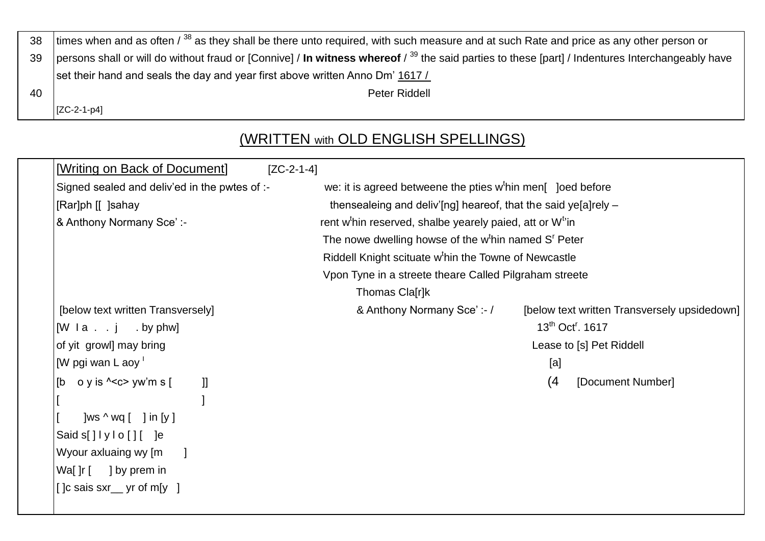| 38 | times when and as often $\frac{38}{36}$ as they shall be there unto required, with such measure and at such Rate and price as any other person or        |  |  |
|----|----------------------------------------------------------------------------------------------------------------------------------------------------------|--|--|
| 39 | persons shall or will do without fraud or [Connive] / In witness whereof $\beta^{39}$ the said parties to these [part] / Indentures Interchangeably have |  |  |
|    | set their hand and seals the day and year first above written Anno Dm' 1617/                                                                             |  |  |
| 40 | Peter Riddell                                                                                                                                            |  |  |
|    | $ [ZC-2-1-p4]$                                                                                                                                           |  |  |

## (WRITTEN with OLD ENGLISH SPELLINGS)

| [Writing on Back of Document]<br>$[ZC-2-1-4]$                                   |                                                                                  |  |
|---------------------------------------------------------------------------------|----------------------------------------------------------------------------------|--|
| Signed sealed and deliv'ed in the pwtes of :-                                   | we: it is agreed betweene the pties w <sup>t</sup> hin men[ ] loed before        |  |
| [Rar]ph [[] ]sahay                                                              | thensealeing and deliv'[ng] heareof, that the said ye[a]rely -                   |  |
| & Anthony Normany Sce':-                                                        | rent w <sup>t</sup> hin reserved, shalbe yearely paied, att or W <sup>t</sup> in |  |
|                                                                                 | The nowe dwelling howse of the w <sup>t</sup> hin named S <sup>r</sup> Peter     |  |
|                                                                                 | Riddell Knight scituate w <sup>t</sup> hin the Towne of Newcastle                |  |
|                                                                                 | Vpon Tyne in a streete theare Called Pilgraham streete                           |  |
|                                                                                 | Thomas Cla[r]k                                                                   |  |
| [below text written Transversely]                                               | & Anthony Normany Sce':-/<br>[below text written Transversely upsidedown]        |  |
| $[W \mid a \ldots j \ldots bV \mid bW]$                                         | $13^{th}$ Oct <sup>r</sup> , 1617                                                |  |
| of yit growl] may bring                                                         | Lease to [s] Pet Riddell                                                         |  |
| [W pgi wan L aoy $\overline{ }$                                                 | [a]                                                                              |  |
| o y is $\leq$ c > yw'm s [<br>l [b<br>H.                                        | (4)<br>[Document Number]                                                         |  |
|                                                                                 |                                                                                  |  |
| ]ws $\wedge$ wq [ ] in [y]                                                      |                                                                                  |  |
| $\textsf{Saids}[\texttt{]}\texttt{]}\texttt{y}\texttt{lo}[\texttt{]}\texttt{[}$ |                                                                                  |  |
| Wyour axluaing wy [m                                                            |                                                                                  |  |
| Wa[ $]r$ [ ] by prem in                                                         |                                                                                  |  |
| [ ]c sais sxr__ yr of m[y ]                                                     |                                                                                  |  |
|                                                                                 |                                                                                  |  |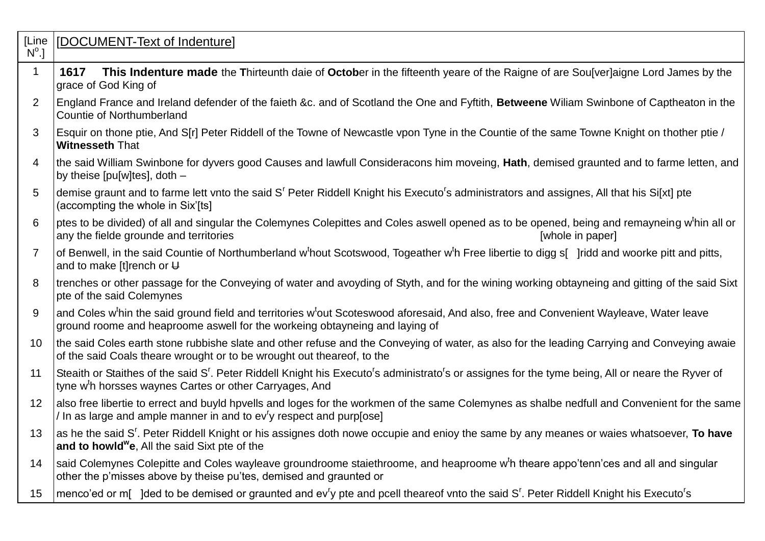| [Line<br>$N^{\circ}.$ | [DOCUMENT-Text of Indenture]                                                                                                                                                                                                                                  |
|-----------------------|---------------------------------------------------------------------------------------------------------------------------------------------------------------------------------------------------------------------------------------------------------------|
| $\mathbf{1}$          | This Indenture made the Thirteunth daie of October in the fifteenth yeare of the Raigne of are Sou[ver]aigne Lord James by the<br>1617<br>grace of God King of                                                                                                |
| 2                     | England France and Ireland defender of the faieth &c. and of Scotland the One and Fyftith, Betweene William Swinbone of Captheaton in the<br><b>Countie of Northumberland</b>                                                                                 |
| 3                     | Esquir on thone ptie, And S[r] Peter Riddell of the Towne of Newcastle vpon Tyne in the Countie of the same Towne Knight on thother ptie /<br><b>Witnesseth That</b>                                                                                          |
| 4                     | the said William Swinbone for dyvers good Causes and lawfull Consideracons him moveing, Hath, demised graunted and to farme letten, and<br>by theise $[pu[w]$ tes], doth $-$                                                                                  |
| 5                     | demise graunt and to farme lett vnto the said S <sup>r</sup> Peter Riddell Knight his Executo <sup>r</sup> s administrators and assignes, All that his Si[xt] pte<br>(accompting the whole in Six'[ts]                                                        |
| 6                     | ptes to be divided) of all and singular the Colemynes Colepittes and Coles aswell opened as to be opened, being and remayneing w <sup>t</sup> hin all or<br>any the fielde grounde and territories<br>[whole in paper]                                        |
| $\overline{7}$        | of Benwell, in the said Countie of Northumberland w <sup>t</sup> hout Scotswood, Togeather w <sup>t</sup> h Free libertie to digg s[ ]ridd and woorke pitt and pitts,<br>and to make [t] rench or $\bigcup$                                                   |
| 8                     | trenches or other passage for the Conveying of water and avoyding of Styth, and for the wining working obtayneing and gitting of the said Sixt<br>pte of the said Colemynes                                                                                   |
| 9                     | and Coles w <sup>t</sup> hin the said ground field and territories w <sup>t</sup> out Scoteswood aforesaid, And also, free and Convenient Wayleave, Water leave<br>ground roome and heaproome aswell for the workeing obtayneing and laying of                |
| 10                    | the said Coles earth stone rubbishe slate and other refuse and the Conveying of water, as also for the leading Carrying and Conveying awaie<br>of the said Coals theare wrought or to be wrought out theareof, to the                                         |
| 11                    | Steaith or Staithes of the said S <sup>r</sup> . Peter Riddell Knight his Executo <sup>r</sup> s administrato <sup>r</sup> s or assignes for the tyme being, All or neare the Ryver of<br>tyne w <sup>t</sup> h horsses waynes Cartes or other Carryages, And |
| 12                    | also free libertie to errect and buyld hpvells and loges for the workmen of the same Colemynes as shalbe nedfull and Convenient for the same<br>/ In as large and ample manner in and to ev <sup>ry</sup> respect and purp[ose]                               |
| 13                    | as he the said S <sup>r</sup> . Peter Riddell Knight or his assignes doth nowe occupie and enioy the same by any meanes or waies whatsoever, To have<br>and to howld <sup>w</sup> e, All the said Sixt pte of the                                             |
| 14                    | said Colemynes Colepitte and Coles wayleave groundroome staiethroome, and heaproome w <sup>t</sup> h theare appo'tenn'ces and all and singular<br>other the p'misses above by theise pu'tes, demised and graunted or                                          |
| 15                    | menco'ed or m[ ]ded to be demised or graunted and ev <sup>r</sup> y pte and pcell theareof vnto the said S <sup>r</sup> . Peter Riddell Knight his Executo <sup>r</sup> s                                                                                     |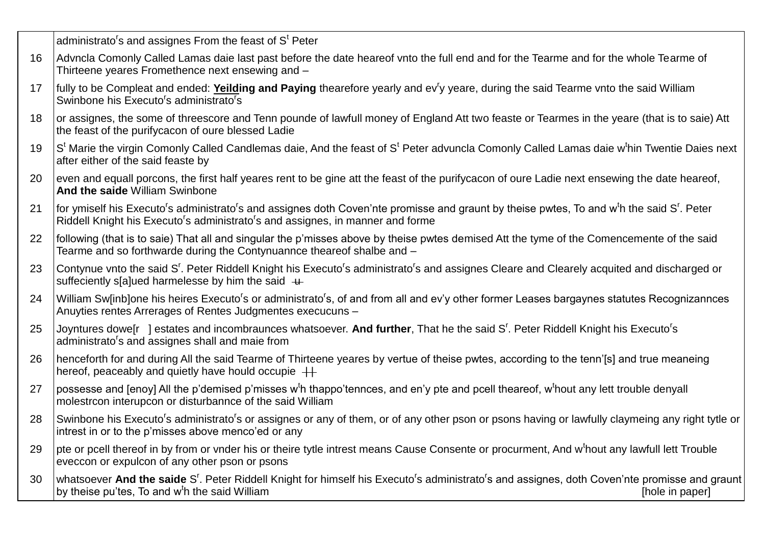|    | administrato's and assignes From the feast of S <sup>t</sup> Peter                                                                                                                                                                                                  |
|----|---------------------------------------------------------------------------------------------------------------------------------------------------------------------------------------------------------------------------------------------------------------------|
| 16 | Advncla Comonly Called Lamas daie last past before the date heareof vnto the full end and for the Tearme and for the whole Tearme of<br>Thirteene yeares Fromethence next ensewing and -                                                                            |
| 17 | fully to be Compleat and ended: Yeilding and Paying thearefore yearly and ev <sup>r</sup> y yeare, during the said Tearme vnto the said William<br>Swinbone his Executo's administrato's                                                                            |
| 18 | or assignes, the some of threescore and Tenn pounde of lawfull money of England Att two feaste or Tearmes in the yeare (that is to saie) Att<br>the feast of the purifycacon of oure blessed Ladie                                                                  |
| 19 | S <sup>t</sup> Marie the virgin Comonly Called Candlemas daie, And the feast of S <sup>t</sup> Peter advuncla Comonly Called Lamas daie w <sup>t</sup> hin Twentie Daies next<br>after either of the said feaste by                                                 |
| 20 | even and equall porcons, the first half yeares rent to be gine att the feast of the purifycacon of oure Ladie next ensewing the date heareof,<br>And the saide William Swinbone                                                                                     |
| 21 | for ymiself his Executo's administrato's and assignes doth Coven'nte promisse and graunt by theise pwtes, To and w <sup>t</sup> h the said S <sup>r</sup> . Peter<br>Riddell Knight his Executo's administrato's and assignes, in manner and forme                  |
| 22 | following (that is to saie) That all and singular the p'misses above by theise pwtes demised Att the tyme of the Comencemente of the said<br>Tearme and so forthwarde during the Contynuannce theareof shalbe and -                                                 |
| 23 | Contynue vnto the said S <sup>r</sup> . Peter Riddell Knight his Executo <sup>r</sup> s administrato <sup>r</sup> s and assignes Cleare and Clearely acquited and discharged or<br>suffeciently s[a]ued harmelesse by him the said $+$                              |
| 24 | William Sw[inb]one his heires Executo <sup>r</sup> s or administrato <sup>r</sup> s, of and from all and ev'y other former Leases bargaynes statutes Recognizannces<br>Anuyties rentes Arrerages of Rentes Judgmentes execucuns -                                   |
| 25 | Joyntures dowe[r] estates and incombraunces whatsoever. And further, That he the said S'. Peter Riddell Knight his Executo's<br>administrato's and assignes shall and maie from                                                                                     |
| 26 | henceforth for and during All the said Tearme of Thirteene yeares by vertue of theise pwtes, according to the tenn'[s] and true meaneing<br>hereof, peaceably and quietly have hould occupie $++$                                                                   |
| 27 | possesse and [enoy] All the p'demised p'misses w <sup>t</sup> h thappo'tennces, and en'y pte and pcell theareof, w <sup>t</sup> hout any lett trouble denyall<br>molestrcon interupcon or disturbannce of the said William                                          |
| 28 | Swinbone his Executo's administrato's or assignes or any of them, or of any other pson or psons having or lawfully claymeing any right tytle or<br>intrest in or to the p'misses above menco'ed or any                                                              |
| 29 | pte or pcell thereof in by from or vnder his or theire tytle intrest means Cause Consente or procurment, And w <sup>t</sup> hout any lawfull lett Trouble<br>eveccon or expulcon of any other pson or psons                                                         |
| 30 | whatsoever And the saide S <sup>r</sup> . Peter Riddell Knight for himself his Executo <sup>r</sup> s administrato <sup>r</sup> s and assignes, doth Coven'nte promisse and graunt<br>by theise pu'tes, To and w <sup>t</sup> h the said William<br>[hole in paper] |